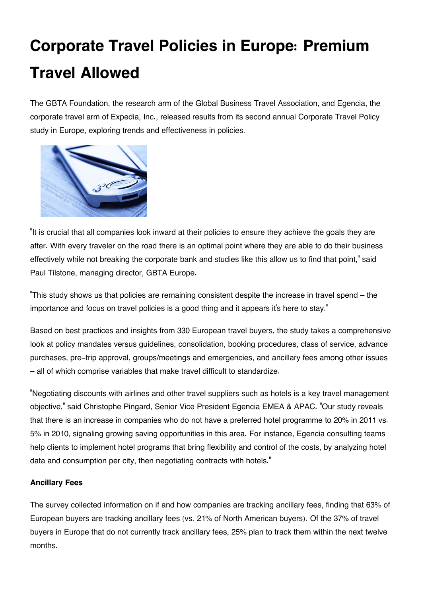# **Corporate Travel Policies in Europe: Premium Travel Allowed**

The GBTA Foundation, the research arm of the Global Business Travel Association, and Egencia, the corporate travel arm of Expedia, Inc., released results from its second annual Corporate Travel Policy study in Europe, exploring trends and effectiveness in policies.



"It is crucial that all companies look inward at their policies to ensure they achieve the goals they are after. With every traveler on the road there is an optimal point where they are able to do their business effectively while not breaking the corporate bank and studies like this allow us to find that point," said Paul Tilstone, managing director, GBTA Europe.

"This study shows us that policies are remaining consistent despite the increase in travel spend – the importance and focus on travel policies is a good thing and it appears it's here to stay."

Based on best practices and insights from 330 European travel buyers, the study takes a comprehensive look at policy mandates versus guidelines, consolidation, booking procedures, class of service, advance purchases, pre-trip approval, groups/meetings and emergencies, and ancillary fees among other issues – all of which comprise variables that make travel difficult to standardize.

"Negotiating discounts with airlines and other travel suppliers such as hotels is a key travel management objective," said Christophe Pingard, Senior Vice President Egencia EMEA & APAC. "Our study reveals that there is an increase in companies who do not have a preferred hotel programme to 20% in 2011 vs. 5% in 2010, signaling growing saving opportunities in this area. For instance, Egencia consulting teams help clients to implement hotel programs that bring flexibility and control of the costs, by analyzing hotel data and consumption per city, then negotiating contracts with hotels."

## **Ancillary Fees**

The survey collected information on if and how companies are tracking ancillary fees, finding that 63% of European buyers are tracking ancillary fees (vs. 21% of North American buyers). Of the 37% of travel buyers in Europe that do not currently track ancillary fees, 25% plan to track them within the next twelve months.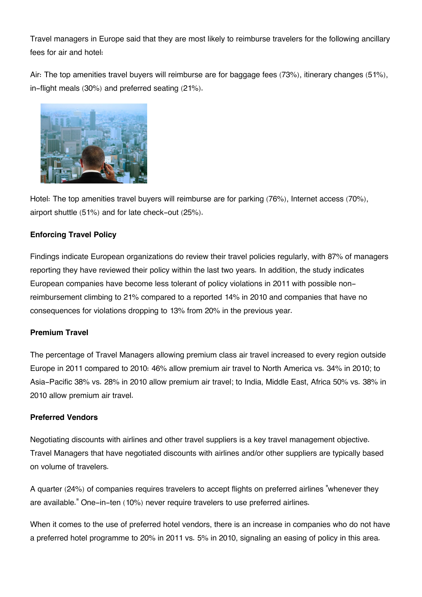Travel managers in Europe said that they are most likely to reimburse travelers for the following ancillary fees for air and hotel:

Air: The top amenities travel buyers will reimburse are for baggage fees (73%), itinerary changes (51%), in-flight meals (30%) and preferred seating (21%).



Hotel: The top amenities travel buyers will reimburse are for parking (76%), Internet access (70%), airport shuttle (51%) and for late check-out (25%).

## **Enforcing Travel Policy**

Findings indicate European organizations do review their travel policies regularly, with 87% of managers reporting they have reviewed their policy within the last two years. In addition, the study indicates European companies have become less tolerant of policy violations in 2011 with possible nonreimbursement climbing to 21% compared to a reported 14% in 2010 and companies that have no consequences for violations dropping to 13% from 20% in the previous year.

## **Premium Travel**

The percentage of Travel Managers allowing premium class air travel increased to every region outside Europe in 2011 compared to 2010: 46% allow premium air travel to North America vs. 34% in 2010; to Asia-Pacific 38% vs. 28% in 2010 allow premium air travel; to India, Middle East, Africa 50% vs. 38% in 2010 allow premium air travel.

#### **Preferred Vendors**

Negotiating discounts with airlines and other travel suppliers is a key travel management objective. Travel Managers that have negotiated discounts with airlines and/or other suppliers are typically based on volume of travelers.

A quarter (24%) of companies requires travelers to accept flights on preferred airlines "whenever they are available." One-in-ten (10%) never require travelers to use preferred airlines.

When it comes to the use of preferred hotel vendors, there is an increase in companies who do not have a preferred hotel programme to 20% in 2011 vs. 5% in 2010, signaling an easing of policy in this area.